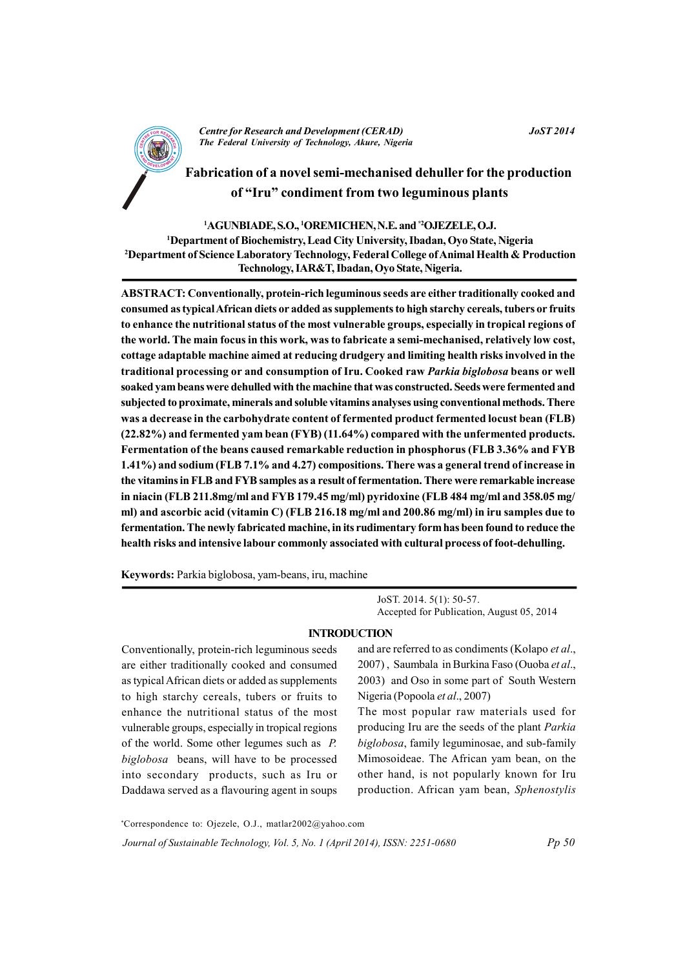

**Centre for Research and Development (CERAD)** The Federal University of Technology, Akure, Nigeria

# Fabrication of a novel semi-mechanised dehuller for the production of "Iru" condiment from two leguminous plants

## <sup>1</sup>AGUNBIADE, S.O., <sup>1</sup>OREMICHEN, N.E. and <sup>\*2</sup>OJEZELE, O.J.

<sup>1</sup>Department of Biochemistry, Lead City University, Ibadan, Oyo State, Nigeria <sup>2</sup>Department of Science Laboratory Technology, Federal College of Animal Health & Production Technology, IAR&T, Ibadan, Oyo State, Nigeria.

ABSTRACT: Conventionally, protein-rich leguminous seeds are either traditionally cooked and consumed as typical African diets or added as supplements to high starchy cereals, tubers or fruits to enhance the nutritional status of the most vulnerable groups, especially in tropical regions of the world. The main focus in this work, was to fabricate a semi-mechanised, relatively low cost, cottage adaptable machine aimed at reducing drudgery and limiting health risks involved in the traditional processing or and consumption of Iru. Cooked raw Parkia biglobosa beans or well soaked vam beans were dehulled with the machine that was constructed. Seeds were fermented and subjected to proximate, minerals and soluble vitamins analyses using conventional methods. There was a decrease in the carbohydrate content of fermented product fermented locust bean (FLB) (22.82%) and fermented yam bean (FYB) (11.64%) compared with the unfermented products. Fermentation of the beans caused remarkable reduction in phosphorus (FLB 3.36% and FYB 1.41%) and sodium (FLB 7.1% and 4.27) compositions. There was a general trend of increase in the vitamins in FLB and FYB samples as a result of fermentation. There were remarkable increase in niacin (FLB 211.8mg/ml and FYB 179.45 mg/ml) pyridoxine (FLB 484 mg/ml and 358.05 mg/ ml) and ascorbic acid (vitamin C) (FLB 216.18 mg/ml and 200.86 mg/ml) in iru samples due to fermentation. The newly fabricated machine, in its rudimentary form has been found to reduce the health risks and intensive labour commonly associated with cultural process of foot-dehulling.

Keywords: Parkia biglobosa, yam-beans, iru, machine

JoST. 2014. 5(1): 50-57. Accepted for Publication, August 05, 2014

## **INTRODUCTION**

Conventionally, protein-rich leguminous seeds are either traditionally cooked and consumed as typical African diets or added as supplements to high starchy cereals, tubers or fruits to enhance the nutritional status of the most vulnerable groups, especially in tropical regions of the world. Some other legumes such as  $P$ . biglobosa beans, will have to be processed into secondary products, such as Iru or Daddawa served as a flavouring agent in soups

and are referred to as condiments (Kolapo et al., 2007), Saumbala in Burkina Faso (Ouoba et al., 2003) and Oso in some part of South Western Nigeria (Popoola et al., 2007)

The most popular raw materials used for producing Iru are the seeds of the plant Parkia biglobosa, family leguminosae, and sub-family Mimosoideae. The African yam bean, on the other hand, is not popularly known for Iru production. African yam bean, Sphenostylis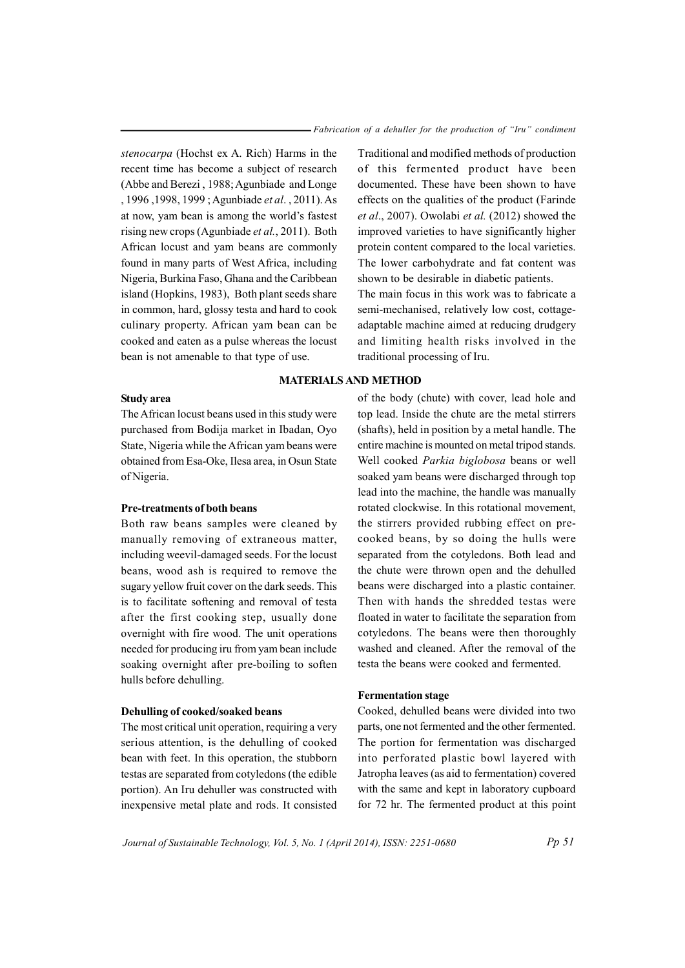Traditional and modified methods of production

of this fermented product have been documented. These have been shown to have

effects on the qualities of the product (Farinde

*et al.*, 2007). Owolabi *et al.* (2012) showed the

improved varieties to have significantly higher protein content compared to the local varieties.

The lower carbohydrate and fat content was

shown to be desirable in diabetic patients.

*stenocarpa* (Hochst ex A. Rich) Harms in the recent time has become a subject of research (Abbe and Berezi, 1988; Agunbiade and Longe , 1996, 1998, 1999; Agunbiade et al., 2011). As at now, yam bean is among the world's fastest rising new crops (Agunbiade et al., 2011). Both African locust and vam beans are commonly found in many parts of West Africa, including Nigeria, Burkina Faso, Ghana and the Caribbean island (Hopkins, 1983), Both plant seeds share in common, hard, glossy testa and hard to cook culinary property. African yam bean can be cooked and eaten as a pulse whereas the locust bean is not amenable to that type of use.

## The main focus in this work was to fabricate a semi-mechanised, relatively low cost, cottageadaptable machine aimed at reducing drudgery and limiting health risks involved in the traditional processing of Iru.

## **MATERIALS AND METHOD**

#### **Study area**

The African locust beans used in this study were purchased from Bodija market in Ibadan, Oyo State, Nigeria while the African yam beans were obtained from Esa-Oke, Ilesa area, in Osun State of Nigeria.

## Pre-treatments of both beans

Both raw beans samples were cleaned by manually removing of extraneous matter, including weevil-damaged seeds. For the locust beans, wood ash is required to remove the sugary yellow fruit cover on the dark seeds. This is to facilitate softening and removal of testa after the first cooking step, usually done overnight with fire wood. The unit operations needed for producing iru from yam bean include soaking overnight after pre-boiling to soften hulls before dehulling.

## Dehulling of cooked/soaked beans

The most critical unit operation, requiring a very serious attention, is the dehulling of cooked bean with feet. In this operation, the stubborn testas are separated from cotyledons (the edible portion). An Iru dehuller was constructed with inexpensive metal plate and rods. It consisted

of the body (chute) with cover, lead hole and top lead. Inside the chute are the metal stirrers (shafts), held in position by a metal handle. The entire machine is mounted on metal tripod stands. Well cooked Parkia biglobosa beans or well soaked vam beans were discharged through top lead into the machine, the handle was manually rotated clockwise. In this rotational movement, the stirrers provided rubbing effect on precooked beans, by so doing the hulls were separated from the cotyledons. Both lead and the chute were thrown open and the dehulled beans were discharged into a plastic container. Then with hands the shredded testas were floated in water to facilitate the separation from cotyledons. The beans were then thoroughly washed and cleaned. After the removal of the testa the beans were cooked and fermented.

#### **Fermentation stage**

Cooked, dehulled beans were divided into two parts, one not fermented and the other fermented. The portion for fermentation was discharged into perforated plastic bowl layered with Jatropha leaves (as aid to fermentation) covered with the same and kept in laboratory cupboard for 72 hr. The fermented product at this point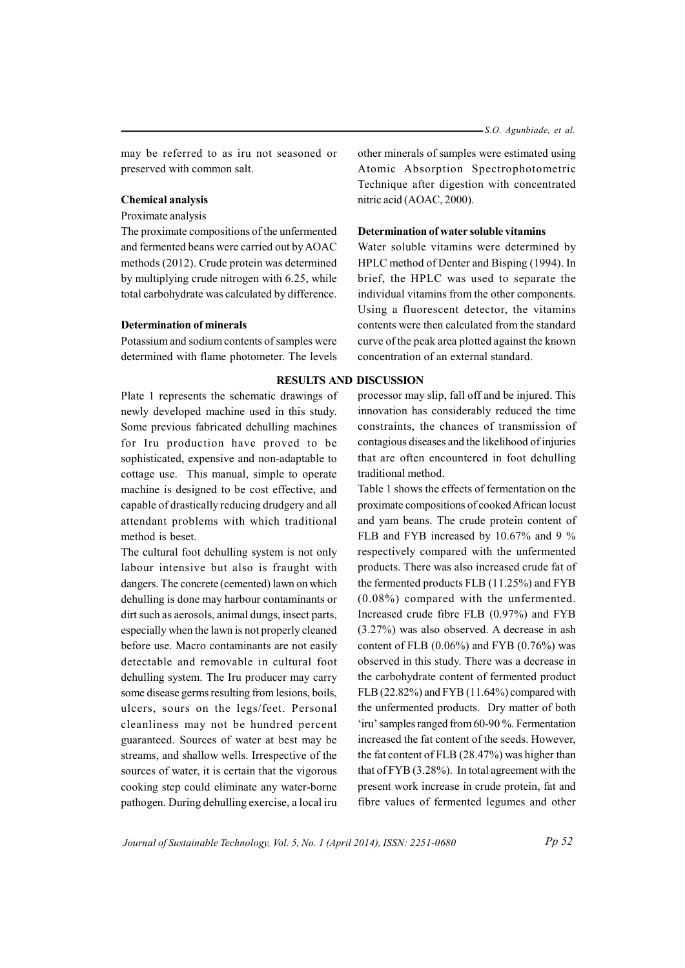-S.O. Agunbiade, et al.

may be referred to as iru not seasoned or preserved with common salt.

## **Chemical analysis**

Proximate analysis

The proximate compositions of the unfermented and fermented beans were carried out by AOAC methods (2012). Crude protein was determined by multiplying crude nitrogen with 6.25, while total carbohydrate was calculated by difference.

#### **Determination of minerals**

Potassium and sodium contents of samples were determined with flame photometer. The levels

Plate 1 represents the schematic drawings of newly developed machine used in this study. Some previous fabricated dehulling machines for Iru production have proved to be sophisticated, expensive and non-adaptable to cottage use. This manual, simple to operate machine is designed to be cost effective, and capable of drastically reducing drudgery and all attendant problems with which traditional method is beset.

The cultural foot dehulling system is not only labour intensive but also is fraught with dangers. The concrete (cemented) lawn on which dehulling is done may harbour contaminants or dirt such as aerosols, animal dungs, insect parts, especially when the lawn is not properly cleaned before use. Macro contaminants are not easily detectable and removable in cultural foot dehulling system. The Iru producer may carry some disease germs resulting from lesions, boils, ulcers, sours on the legs/feet. Personal cleanliness may not be hundred percent guaranteed. Sources of water at best may be streams, and shallow wells. Irrespective of the sources of water, it is certain that the vigorous cooking step could eliminate any water-borne pathogen. During dehulling exercise, a local iru other minerals of samples were estimated using Atomic Absorption Spectrophotometric Technique after digestion with concentrated nitric acid (AOAC, 2000).

## Determination of water soluble vitamins

Water soluble vitamins were determined by HPLC method of Denter and Bisping (1994). In brief, the HPLC was used to separate the individual vitamins from the other components. Using a fluorescent detector, the vitamins contents were then calculated from the standard curve of the peak area plotted against the known concentration of an external standard.

#### **RESULTS AND DISCUSSION**

processor may slip, fall off and be injured. This innovation has considerably reduced the time constraints, the chances of transmission of contagious diseases and the likelihood of injuries that are often encountered in foot dehulling traditional method.

Table 1 shows the effects of fermentation on the proximate compositions of cooked African locust and yam beans. The crude protein content of FLB and FYB increased by 10.67% and 9 % respectively compared with the unfermented products. There was also increased crude fat of the fermented products FLB (11.25%) and FYB  $(0.08\%)$  compared with the unfermented. Increased crude fibre FLB (0.97%) and FYB  $(3.27%)$  was also observed. A decrease in ash content of FLB  $(0.06\%)$  and FYB  $(0.76\%)$  was observed in this study. There was a decrease in the carbohydrate content of fermented product FLB (22.82%) and FYB (11.64%) compared with the unfermented products. Dry matter of both 'iru' samples ranged from 60-90 %. Fermentation increased the fat content of the seeds. However, the fat content of FLB (28.47%) was higher than that of FYB  $(3.28\%)$ . In total agreement with the present work increase in crude protein, fat and fibre values of fermented legumes and other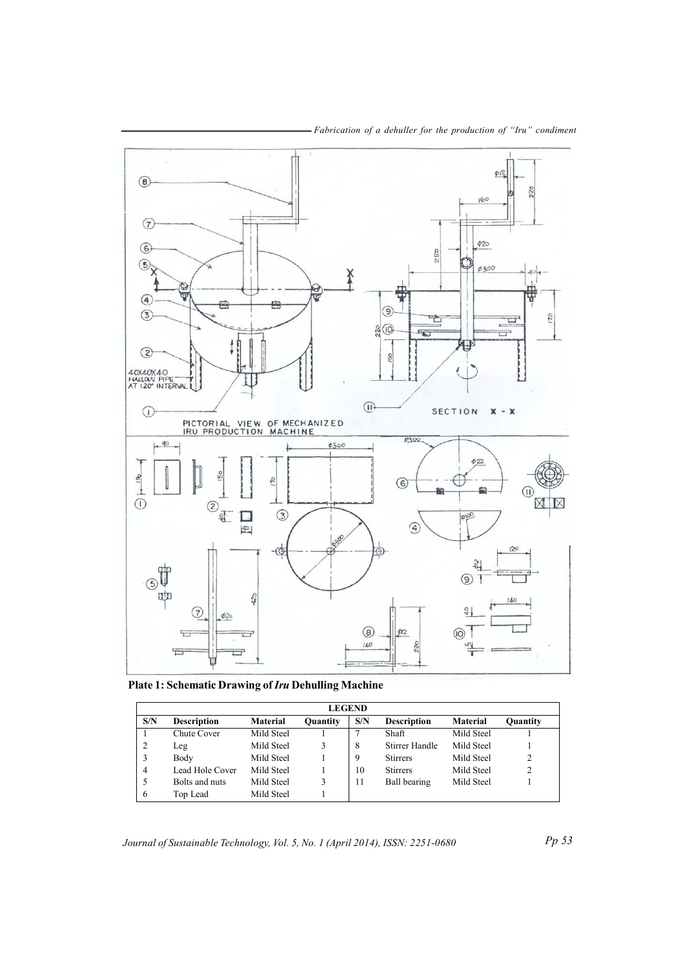

- Fabrication of a dehuller for the production of "Iru" condiment

**Plate 1: Schematic Drawing of** *Iru* **Dehulling Machine** 

| <b>LEGEND</b> |                    |                 |                 |     |                    |                 |                 |  |
|---------------|--------------------|-----------------|-----------------|-----|--------------------|-----------------|-----------------|--|
| S/N           | <b>Description</b> | <b>Material</b> | <b>Quantity</b> | S/N | <b>Description</b> | <b>Material</b> | <b>Quantity</b> |  |
|               | Chute Cover        | Mild Steel      |                 |     | Shaft              | Mild Steel      |                 |  |
|               | Leg                | Mild Steel      |                 | 8   | Stirrer Handle     | Mild Steel      |                 |  |
| 3             | Body               | Mild Steel      |                 | 9   | <b>Stirrers</b>    | Mild Steel      | 2               |  |
| 4             | Lead Hole Cover    | Mild Steel      |                 | 10  | <b>Stirrers</b>    | Mild Steel      | $\mathfrak{D}$  |  |
| 5             | Bolts and nuts     | Mild Steel      |                 | 11  | Ball bearing       | Mild Steel      |                 |  |
| 6             | Top Lead           | Mild Steel      |                 |     |                    |                 |                 |  |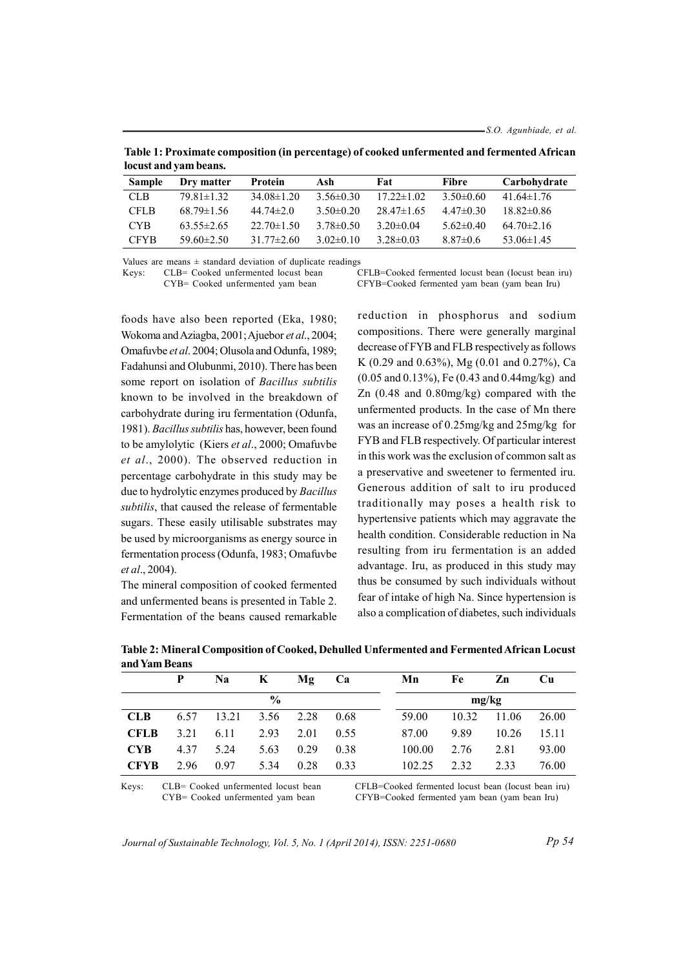53.06±1.45

| locust and yam beans. |                  |                  |                 |                  |                 |                  |  |  |
|-----------------------|------------------|------------------|-----------------|------------------|-----------------|------------------|--|--|
| <b>Sample</b>         | Dry matter       | Protein          | Ash             | Fat              | Fibre           | Carbohydrate     |  |  |
| CLB.                  | $79.81 \pm 1.32$ | $34.08\pm1.20$   | $3.56 \pm 0.30$ | $17.22 \pm 1.02$ | 3.50 $\pm$ 0.60 | $41.64 \pm 1.76$ |  |  |
| <b>CFLB</b>           | $68.79 \pm 1.56$ | 44 74 $\pm$ 2 0  | 3.50 $\pm$ 0.20 | $2847\pm165$     | $4.47\pm 0.30$  | $18.82\pm0.86$   |  |  |
| CYB.                  | $63.55 \pm 2.65$ | $22.70 \pm 1.50$ | $3.78 \pm 0.50$ | $3.20 \pm 0.04$  | $5.62 \pm 0.40$ | $64.70 \pm 2.16$ |  |  |

 $3.28 \pm 0.03$ 

 $3.02 \pm 0.10$ 

Table 1: Proximate composition (in percentage) of cooked unfermented and fermented African

Values are means  $\pm$  standard deviation of duplicate readings

31.77±2.60

59.60±2.50

**CFYB** 

Keys: CLB= Cooked unfermented locust bean

CYB= Cooked unfermented yam bean

CFLB=Cooked fermented locust bean (locust bean iru) CFYB=Cooked fermented yam bean (yam bean Iru)

 $8.87 \pm 0.6$ 

foods have also been reported (Eka, 1980; Wokoma and Aziagba, 2001; Ajuebor et al., 2004; Omafuvbe et al. 2004; Olusola and Odunfa, 1989; Fadahunsi and Olubunmi, 2010). There has been some report on isolation of Bacillus subtilis known to be involved in the breakdown of carbohydrate during iru fermentation (Odunfa, 1981). Bacillus subtilis has, however, been found to be amylolytic (Kiers et al., 2000; Omafuvbe et al., 2000). The observed reduction in percentage carbohydrate in this study may be due to hydrolytic enzymes produced by Bacillus subtilis, that caused the release of fermentable sugars. These easily utilisable substrates may be used by microorganisms as energy source in fermentation process (Odunfa, 1983; Omafuvbe et al., 2004).

The mineral composition of cooked fermented and unfermented beans is presented in Table 2. Fermentation of the beans caused remarkable reduction in phosphorus and sodium compositions. There were generally marginal decrease of FYB and FLB respectively as follows K (0.29 and 0.63%), Mg (0.01 and 0.27%), Ca  $(0.05$  and  $0.13\%)$ , Fe (0.43 and 0.44mg/kg) and Zn  $(0.48$  and  $0.80$ mg/kg) compared with the unfermented products. In the case of Mn there was an increase of 0.25mg/kg and 25mg/kg for FYB and FLB respectively. Of particular interest in this work was the exclusion of common salt as a preservative and sweetener to fermented iru. Generous addition of salt to iru produced traditionally may poses a health risk to hypertensive patients which may aggravate the health condition. Considerable reduction in Na resulting from iru fermentation is an added advantage. Iru, as produced in this study may thus be consumed by such individuals without fear of intake of high Na. Since hypertension is also a complication of diabetes, such individuals

|               | P    | Na    | K    | Mg   | Ca   | Mn     | Fe    | Zn    | Cu    |
|---------------|------|-------|------|------|------|--------|-------|-------|-------|
| $\frac{0}{0}$ |      |       |      |      |      | mg/kg  |       |       |       |
| <b>CLB</b>    | 6.57 | 13.21 | 3.56 | 2.28 | 0.68 | 59.00  | 10.32 | 11.06 | 26.00 |
| <b>CFLB</b>   | 3.21 | 6.11  | 2.93 | 2.01 | 0.55 | 87.00  | 9.89  | 10.26 | 15.11 |
| <b>CYB</b>    | 4.37 | 5.24  | 5.63 | 0.29 | 0.38 | 100.00 | 2.76  | 2.81  | 93.00 |
| <b>CFYB</b>   | 2.96 | 0.97  | 5.34 | 0.28 | 0.33 | 102.25 | 2.32  | 2.33  | 76.00 |

Table 2: Mineral Composition of Cooked, Dehulled Unfermented and Fermented African Locust and Yam Beans

Keys: CLB= Cooked unfermented locust bean CYB= Cooked unfermented yam bean

CFLB=Cooked fermented locust bean (locust bean iru) CFYB=Cooked fermented yam bean (yam bean Iru)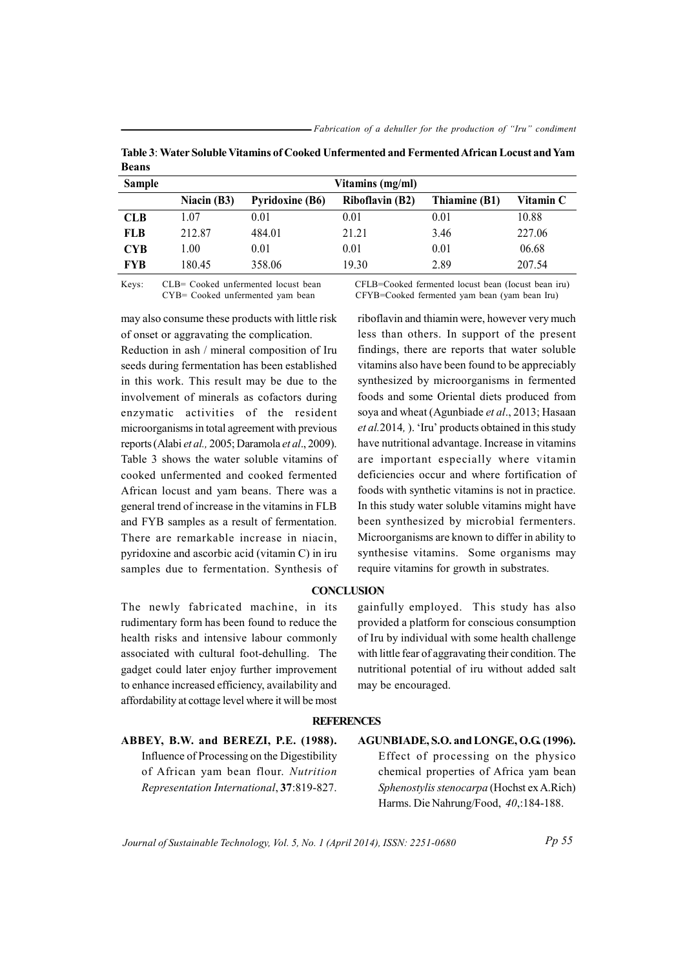| <b>Sample</b> | Vitamins (mg/ml) |                        |                        |               |           |  |  |  |  |  |
|---------------|------------------|------------------------|------------------------|---------------|-----------|--|--|--|--|--|
|               | Niacin $(B3)$    | <b>Pyridoxine (B6)</b> | <b>Riboflavin (B2)</b> | Thiamine (B1) | Vitamin C |  |  |  |  |  |
| <b>CLB</b>    | 1.07             | 0.01                   | 0.01                   | 0.01          | 10.88     |  |  |  |  |  |
| <b>FLB</b>    | 212.87           | 484.01                 | 21.21                  | 3.46          | 227.06    |  |  |  |  |  |
| <b>CYB</b>    | .00              | 0.01                   | 0.01                   | 0.01          | 06.68     |  |  |  |  |  |
| <b>FYB</b>    | 180.45           | 358.06                 | 19.30                  | 2.89          | 207.54    |  |  |  |  |  |

Table 3: Water Soluble Vitamins of Cooked Unfermented and Fermented African Locust and Yam **Beans** 

CLB= Cooked unfermented locust bean Keys: CYB= Cooked unfermented yam bean

may also consume these products with little risk of onset or aggravating the complication.

Reduction in ash / mineral composition of Iru seeds during fermentation has been established in this work. This result may be due to the involvement of minerals as cofactors during enzymatic activities of the resident microorganisms in total agreement with previous reports (Alabi et al., 2005; Daramola et al., 2009). Table 3 shows the water soluble vitamins of cooked unfermented and cooked fermented African locust and yam beans. There was a general trend of increase in the vitamins in FLB and FYB samples as a result of fermentation. There are remarkable increase in niacin, pyridoxine and ascorbic acid (vitamin C) in iru samples due to fermentation. Synthesis of

The newly fabricated machine, in its rudimentary form has been found to reduce the health risks and intensive labour commonly associated with cultural foot-dehulling. The gadget could later enjoy further improvement to enhance increased efficiency, availability and affordability at cottage level where it will be most CFLB=Cooked fermented locust bean (locust bean iru) CFYB=Cooked fermented yam bean (yam bean Iru)

riboflavin and thiamin were, however very much less than others. In support of the present findings, there are reports that water soluble vitamins also have been found to be appreciably synthesized by microorganisms in fermented foods and some Oriental diets produced from soya and wheat (Agunbiade et al., 2013; Hasaan et al. 2014, ). 'Iru' products obtained in this study have nutritional advantage. Increase in vitamins are important especially where vitamin deficiencies occur and where fortification of foods with synthetic vitamins is not in practice. In this study water soluble vitamins might have been synthesized by microbial fermenters. Microorganisms are known to differ in ability to synthesise vitamins. Some organisms may require vitamins for growth in substrates.

## **CONCLUSION**

gainfully employed. This study has also provided a platform for conscious consumption of Iru by individual with some health challenge with little fear of aggravating their condition. The nutritional potential of iru without added salt may be encouraged.

#### **REFERENCES**

ABBEY, B.W. and BEREZI, P.E. (1988). Influence of Processing on the Digestibility of African yam bean flour. Nutrition Representation International, 37:819-827. AGUNBIADE, S.O. and LONGE, O.G. (1996). Effect of processing on the physico chemical properties of Africa yam bean Sphenostylis stenocarpa (Hochst ex A.Rich) Harms. Die Nahrung/Food, 40:184-188.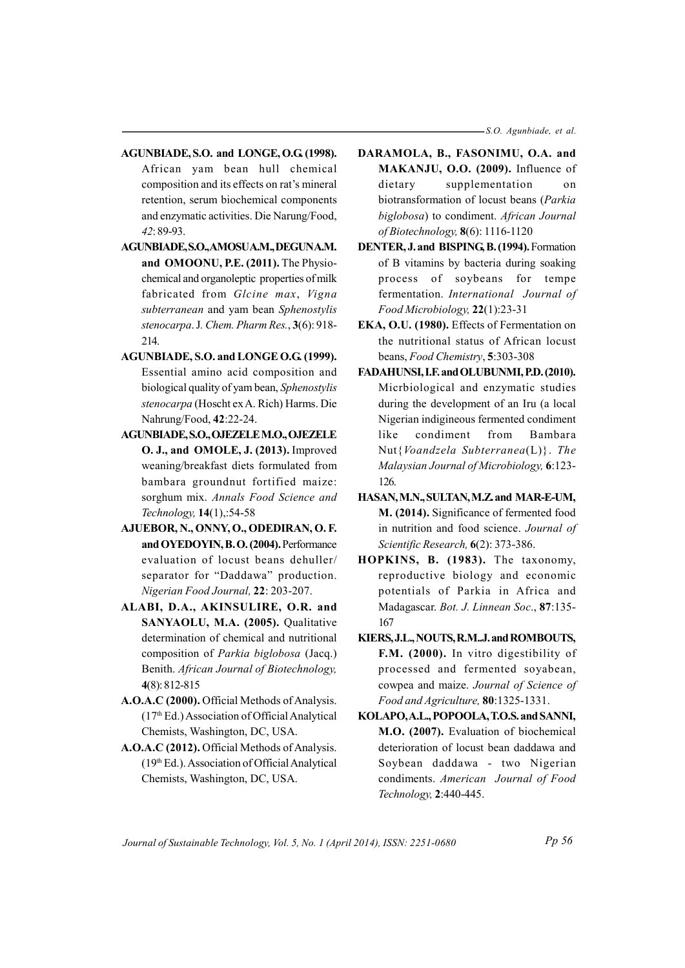-S.O. Agunbiade, et al.

- AGUNBIADE, S.O. and LONGE, O.G. (1998). African yam bean hull chemical composition and its effects on rat's mineral retention, serum biochemical components and enzymatic activities. Die Narung/Food, 42:89-93.
- AGUNBIADE, S.O., AMOSUA.M., DEGUNA.M. and OMOONU, P.E. (2011). The Physiochemical and organoleptic properties of milk fabricated from Glcine max, Vigna subterranean and yam bean Sphenostylis stenocarpa. J. Chem. Pharm Res., 3(6): 918-214.
- AGUNBIADE, S.O. and LONGE O.G. (1999). Essential amino acid composition and biological quality of yam bean, Sphenostylis stenocarpa (Hoscht ex A. Rich) Harms. Die Nahrung/Food, 42:22-24.
- **AGUNBIADE, S.O., OJEZELE M.O., OJEZELE** O. J., and OMOLE, J. (2013). Improved weaning/breakfast diets formulated from bambara groundnut fortified maize: sorghum mix. Annals Food Science and Technology, 14(1),:54-58
- AJUEBOR, N., ONNY, O., ODEDIRAN, O.F. and OYEDOYIN, B.O. (2004). Performance evaluation of locust beans dehuller/ separator for "Daddawa" production. Nigerian Food Journal, 22: 203-207.
- ALABI, D.A., AKINSULIRE, O.R. and SANYAOLU, M.A. (2005). Qualitative determination of chemical and nutritional composition of Parkia biglobosa (Jacq.) Benith. African Journal of Biotechnology,  $4(8): 812 - 815$
- A.O.A.C (2000). Official Methods of Analysis.  $(17<sup>th</sup> Ed.)$  Association of Official Analytical Chemists, Washington, DC, USA.
- A.O.A.C (2012). Official Methods of Analysis. (19th Ed.). Association of Official Analytical Chemists, Washington, DC, USA.
- DARAMOLA, B., FASONIMU, O.A. and MAKANJU, O.O. (2009). Influence of dietary supplementation  $\alpha$ biotransformation of locust beans (Parkia biglobosa) to condiment. African Journal of Biotechnology,  $8(6)$ : 1116-1120
- DENTER, J. and BISPING, B. (1994). Formation of B vitamins by bacteria during soaking process of soybeans for tempe fermentation. International Journal of Food Microbiology, 22(1):23-31
- EKA, O.U. (1980). Effects of Fermentation on the nutritional status of African locust beans, Food Chemistry, 5:303-308
- FADAHUNSI, I.F. and OLUBUNMI, P.D. (2010). Micrbiological and enzymatic studies during the development of an Iru (a local Nigerian indigineous fermented condiment like condiment from Bambara Nut{*Voandzela Subterranea*(L)}. The Malaysian Journal of Microbiology, 6:123-126.
- HASAN, M.N., SULTAN, M.Z. and MAR-E-UM, M. (2014). Significance of fermented food in nutrition and food science. Journal of Scientific Research, 6(2): 373-386.
- HOPKINS, B. (1983). The taxonomy, reproductive biology and economic potentials of Parkia in Africa and Madagascar. Bot. J. Linnean Soc., 87:135-167
- KIERS, J.L., NOUTS, R.M.J. and ROMBOUTS, F.M. (2000). In vitro digestibility of processed and fermented soyabean, cowpea and maize. Journal of Science of Food and Agriculture, 80:1325-1331.
- KOLAPO, A.L., POPOOLA, T.O.S. and SANNI, M.O. (2007). Evaluation of biochemical deterioration of locust bean daddawa and Soybean daddawa - two Nigerian condiments. American Journal of Food Technology, 2:440-445.